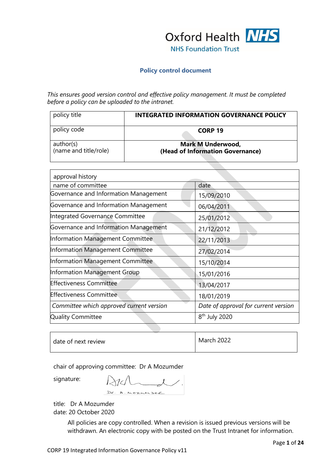

#### **Policy control document**

*This ensures good version control and effective policy management. It must be completed before a policy can be uploaded to the intranet.*

| policy title                       | <b>INTEGRATED INFORMATION GOVERNANCE POLICY</b>              |
|------------------------------------|--------------------------------------------------------------|
| policy code                        | CORP <sub>19</sub>                                           |
| author(s)<br>(name and title/role) | <b>Mark M Underwood,</b><br>(Head of Information Governance) |

| approval history                         |                                      |
|------------------------------------------|--------------------------------------|
| name of committee                        | date                                 |
| Governance and Information Management    | 15/09/2010                           |
| Governance and Information Management    | 06/04/2011                           |
| Integrated Governance Committee          | 25/01/2012                           |
| Governance and Information Management    | 21/12/2012                           |
| Information Management Committee         | 22/11/2013                           |
| Information Management Committee         | 27/02/2014                           |
| Information Management Committee         | 15/10/2014                           |
| Information Management Group             | 15/01/2016                           |
| <b>Effectiveness Committee</b>           | 13/04/2017                           |
| <b>Effectiveness Committee</b>           | 18/01/2019                           |
| Committee which approved current version | Date of approval for current version |
| <b>Quality Committee</b>                 | 8 <sup>th</sup> July 2020            |

| date of next review |  | <b>March 2022</b> |
|---------------------|--|-------------------|
|---------------------|--|-------------------|

chair of approving committee: Dr A Mozumder

signature:

 $M$ Dr. A. MOZNM DER

title: Dr A Mozumder date: 20 October 2020

> All policies are copy controlled. When a revision is issued previous versions will be withdrawn. An electronic copy with be posted on the Trust Intranet for information.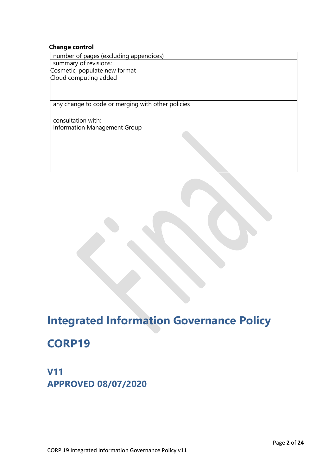#### **Change control**

number of pages (excluding appendices) summary of revisions: Cosmetic, populate new format Cloud computing added

any change to code or merging with other policies

consultation with: Information Management Group

# **Integrated Information Governance Policy**

# **CORP19**

**V11 APPROVED 08/07/2020**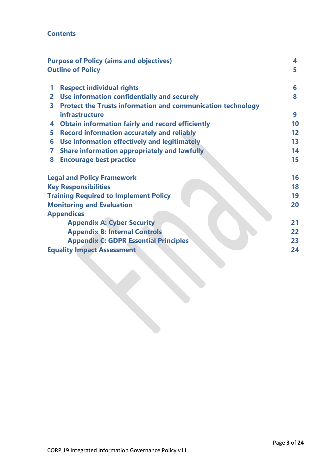## **Contents**

|   | <b>Purpose of Policy (aims and objectives)</b>                     | 4  |
|---|--------------------------------------------------------------------|----|
|   | <b>Outline of Policy</b>                                           | 5  |
| 1 | <b>Respect individual rights</b>                                   | 6  |
| 2 | Use information confidentially and securely                        | 8  |
| 3 | <b>Protect the Trusts information and communication technology</b> |    |
|   | infrastructure                                                     | 9  |
| 4 | <b>Obtain information fairly and record efficiently</b>            | 10 |
| 5 | <b>Record information accurately and reliably</b>                  | 12 |
| 6 | Use information effectively and legitimately                       | 13 |
| 7 | <b>Share information appropriately and lawfully</b>                | 14 |
| 8 | <b>Encourage best practice</b>                                     | 15 |
|   | <b>Legal and Policy Framework</b>                                  | 16 |
|   | <b>Key Responsibilities</b>                                        | 18 |
|   | <b>Training Required to Implement Policy</b>                       | 19 |
|   | <b>Monitoring and Evaluation</b>                                   | 20 |
|   | <b>Appendices</b>                                                  |    |
|   | <b>Appendix A: Cyber Security</b>                                  | 21 |
|   | <b>Appendix B: Internal Controls</b>                               | 22 |
|   | <b>Appendix C: GDPR Essential Principles</b>                       | 23 |
|   | <b>Equality Impact Assessment</b>                                  | 24 |
|   |                                                                    |    |
|   |                                                                    |    |
|   |                                                                    |    |
|   |                                                                    |    |
|   |                                                                    |    |
|   |                                                                    |    |
|   |                                                                    |    |
|   |                                                                    |    |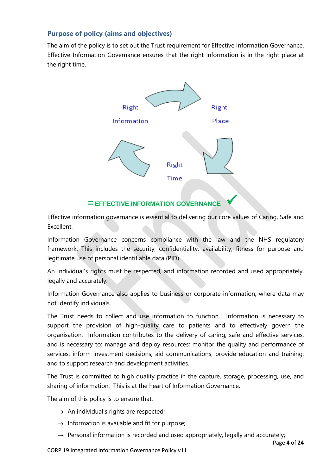## **Purpose of policy (aims and objectives)**

The aim of the policy is to set out the Trust requirement for Effective Information Governance. Effective Information Governance ensures that the right information is in the right place at the right time.



## **= EFFECTIVE INFORMATION GOVERNANCE**

Effective information governance is essential to delivering our core values of Caring, Safe and Excellent.

Information Governance concerns compliance with the law and the NHS regulatory framework. This includes the security, confidentiality, availability, fitness for purpose and legitimate use of personal identifiable data (PID).

An Individual's rights must be respected, and information recorded and used appropriately, legally and accurately.

Information Governance also applies to business or corporate information, where data may not identify individuals.

The Trust needs to collect and use information to function. Information is necessary to support the provision of high-quality care to patients and to effectively govern the organisation. Information contributes to the delivery of caring, safe and effective services, and is necessary to: manage and deploy resources; monitor the quality and performance of services; inform investment decisions; aid communications; provide education and training; and to support research and development activities.

The Trust is committed to high quality practice in the capture, storage, processing, use, and sharing of information. This is at the heart of Information Governance.

The aim of this policy is to ensure that:

- $\rightarrow$  An individual's rights are respected;
- $\rightarrow$  Information is available and fit for purpose;
- $\rightarrow$  Personal information is recorded and used appropriately, legally and accurately;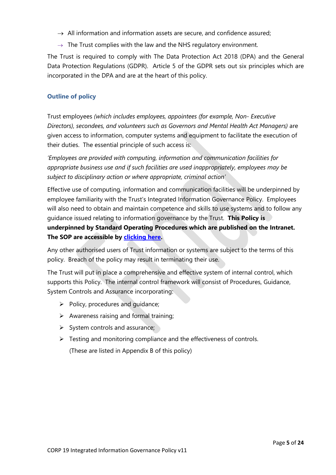- $\rightarrow$  All information and information assets are secure, and confidence assured;
- $\rightarrow$  The Trust complies with the law and the NHS regulatory environment.

The Trust is required to comply with The Data Protection Act 2018 (DPA) and the General Data Protection Regulations (GDPR). Article 5 of the GDPR sets out six principles which are incorporated in the DPA and are at the heart of this policy.

## **Outline of policy**

Trust employees *(which includes employees, appointees (for example, Non- Executive Directors), secondees, and volunteers such as Governors and Mental Health Act Managers)* are given access to information, computer systems and equipment to facilitate the execution of their duties. The essential principle of such access is:

*'Employees are provided with computing, information and communication facilities for appropriate business use and if such facilities are used inappropriately, employees may be subject to disciplinary action or where appropriate, criminal action'*

Effective use of computing, information and communication facilities will be underpinned by employee familiarity with the Trust's Integrated Information Governance Policy. Employees will also need to obtain and maintain competence and skills to use systems and to follow any guidance issued relating to information governance by the Trust. **This Policy is underpinned by Standard Operating Procedures which are published on the Intranet. The SOP are accessible by [clicking here.](https://ohft365.sharepoint.com/sites/IMT/SitePages/IG-FAQ.aspx)**

Any other authorised users of Trust information or systems are subject to the terms of this policy. Breach of the policy may result in terminating their use.

The Trust will put in place a comprehensive and effective system of internal control, which supports this Policy. The internal control framework will consist of Procedures, Guidance, System Controls and Assurance incorporating:

- $\triangleright$  Policy, procedures and quidance;
- $\triangleright$  Awareness raising and formal training;
- $\triangleright$  System controls and assurance;
- $\triangleright$  Testing and monitoring compliance and the effectiveness of controls.

(These are listed in Appendix B of this policy)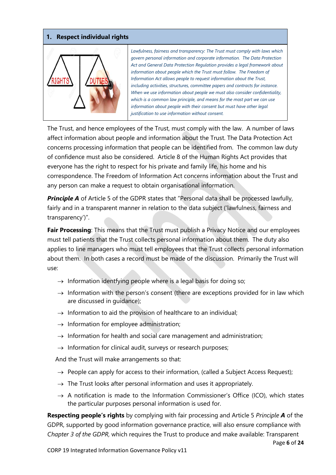### **1. Respect individual rights**



*Lawfulness, fairness and transparency: The Trust must comply with laws which govern personal information and corporate information. The Data Protection Act and General Data Protection Regulation provides a legal framework about information about people which the Trust must follow. The Freedom of Information Act allows people to request information about the Trust, including activities, structures, committee papers and contracts for instance. When we use information about people we must also consider confidentiality, which is a common law principle, and means for the most part we can use information about people with their consent but must have other legal justification to use information without consent.*

The Trust, and hence employees of the Trust, must comply with the law. A number of laws affect information about people and information about the Trust. The Data Protection Act concerns processing information that people can be identified from. The common law duty of confidence must also be considered. Article 8 of the Human Rights Act provides that everyone has the right to respect for his private and family life, his home and his correspondence. The Freedom of Information Act concerns information about the Trust and any person can make a request to obtain organisational information.

**Principle A** of Article 5 of the GDPR states that "Personal data shall be processed lawfully, fairly and in a transparent manner in relation to the data subject ('lawfulness, fairness and transparency')".

**Fair Processing**: This means that the Trust must publish a Privacy Notice and our employees must tell patients that the Trust collects personal information about them. The duty also applies to line managers who must tell employees that the Trust collects personal information about them. In both cases a record must be made of the discussion. Primarily the Trust will use:

- $\rightarrow$  Information identfying people where is a legal basis for doing so;
- $\rightarrow$  Information with the person's consent (there are exceptions provided for in law which are discussed in guidance);
- $\rightarrow$  Information to aid the provision of healthcare to an individual;
- $\rightarrow$  Information for employee administration;
- $\rightarrow$  Information for health and social care management and administration;
- $\rightarrow$  Information for clinical audit, surveys or research purposes;

And the Trust will make arrangements so that:

- $\rightarrow$  People can apply for access to their information, (called a Subject Access Request);
- $\rightarrow$  The Trust looks after personal information and uses it appropriately.
- $\rightarrow$  A notification is made to the Information Commissioner's Office (ICO), which states the particular purposes personal information is used for.

**Respecting people's rights** by complying with fair processing and Article 5 *Principle A* of the GDPR, supported by good information governance practice, will also ensure compliance with *Chapter 3 of the GDPR,* which requires the Trust to produce and make available: Transparent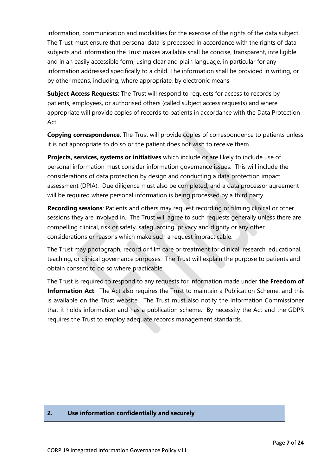information, communication and modalities for the exercise of the rights of the data subject. The Trust must ensure that personal data is processed in accordance with the rights of data subjects and information the Trust makes available shall be concise, transparent, intelligible and in an easily accessible form, using clear and plain language, in particular for any information addressed specifically to a child. The information shall be provided in writing, or by other means, including, where appropriate, by electronic means

**Subject Access Requests**: The Trust will respond to requests for access to records by patients, employees, or authorised others (called subject access requests) and where appropriate will provide copies of records to patients in accordance with the Data Protection Act.

**Copying correspondence**: The Trust will provide copies of correspondence to patients unless it is not appropriate to do so or the patient does not wish to receive them.

**Projects, services, systems or initiatives** which include or are likely to include use of personal information must consider information governance issues. This will include the considerations of data protection by design and conducting a data protection impact assessment (DPIA). Due diligence must also be completed, and a data processor agreement will be required where personal information is being processed by a third party.

**Recording sessions**: Patients and others may request recording or filming clinical or other sessions they are involved in. The Trust will agree to such requests generally unless there are compelling clinical, risk or safety, safeguarding, privacy and dignity or any other considerations or reasons which make such a request impracticable.

The Trust may photograph, record or film care or treatment for clinical, research, educational, teaching, or clinical governance purposes. The Trust will explain the purpose to patients and obtain consent to do so where practicable.

The Trust is required to respond to any requests for information made under **the Freedom of Information Act**. The Act also requires the Trust to maintain a Publication Scheme, and this is available on the Trust website. The Trust must also notify the Information Commissioner that it holds information and has a publication scheme. By necessity the Act and the GDPR requires the Trust to employ adequate records management standards.

#### **2. Use information confidentially and securely**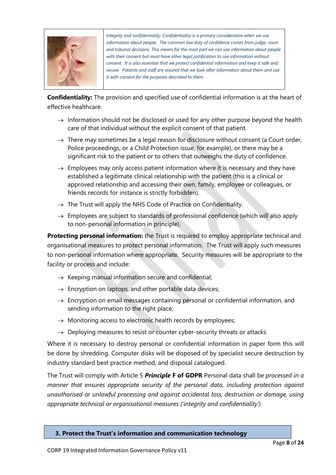

*Integrity and confidentiality: Confidentiality is a primary consideration when we use information about people. The common law duty of confidence comes from judge, court and tribunal decisions. This means for the most part we can use information about people with their consent but must have other legal justification to use information without consent. It is also essential that we protect confidential information and keep it safe and secure. Patients and staff are assured that we look after information about them and use it with consent for the purposes described to them.*

**Confidentiality:** The provision and specified use of confidential information is at the heart of effective healthcare.

- $\rightarrow$  Information should not be disclosed or used for any other purpose beyond the health care of that individual without the explicit consent of that patient.
- $\rightarrow$  There may sometimes be a legal reason for disclosure without consent (a Court order, Police proceedings, or a Child Protection issue, for example), or there may be a significant risk to the patient or to others that outweighs the duty of confidence.
- $\rightarrow$  Employees may only access patient information where it is necessary and they have established a legitimate clinical relationship with the patient (this is a clinical or approved relationship and accessing their own, family, employee or colleagues, or friends records for instance is strictly forbidden).
- $\rightarrow$  The Trust will apply the NHS Code of Practice on Confidentiality.
- $\rightarrow$  Employees are subject to standards of professional confidence (which will also apply to non-personal information in principle).

**Protecting personal information:** the Trust is required to employ appropriate technical and organisational measures to protect personal information. The Trust will apply such measures to non-personal information where appropriate. Security measures will be appropriate to the facility or process and include:

- $\rightarrow$  Keeping manual information secure and confidential;
- $\rightarrow$  Encryption on laptops, and other portable data devices;
- $\rightarrow$  Encryption on email messages containing personal or confidential information, and sending information to the right place;
- $\rightarrow$  Monitoring access to electronic health records by employees;
- $\rightarrow$  Deploying measures to resist or counter cyber-security threats or attacks.

Where it is necessary to destroy personal or confidential information in paper form this will be done by shredding. Computer disks will be disposed of by specialist secure destruction by industry standard best practice method, and disposal catalogued.

The Trust will comply with Article 5 *Principle* **F of GDPR** Personal data shall be *processed in a manner that ensures appropriate security of the personal data, including protection against unauthorised or unlawful processing and against accidental loss, destruction or damage, using appropriate technical or organisational measures ('integrity and confidentiality').*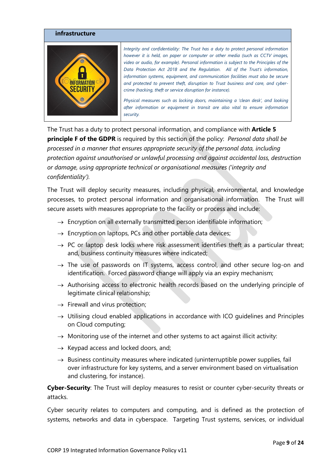

The Trust has a duty to protect personal information, and compliance with **Article 5 principle F of the GDPR** is required by this section of the policy: *Personal data shall be processed in a manner that ensures appropriate security of the personal data, including protection against unauthorised or unlawful processing and against accidental loss, destruction or damage, using appropriate technical or organisational measures ('integrity and confidentiality').*

The Trust will deploy security measures, including physical, environmental, and knowledge processes, to protect personal information and organisational information. The Trust will secure assets with measures appropriate to the facility or process and include:

- $\rightarrow$  Encryption on all externally transmitted person identifiable information;
- $\rightarrow$  Encryption on laptops, PCs and other portable data devices;
- $\rightarrow$  PC or laptop desk locks where risk assessment identifies theft as a particular threat; and, business continuity measures where indicated;
- $\rightarrow$  The use of passwords on IT systems, access control, and other secure log-on and identification. Forced password change will apply via an expiry mechanism;
- $\rightarrow$  Authorising access to electronic health records based on the underlying principle of legitimate clinical relationship;
- $\rightarrow$  Firewall and virus protection;
- $\rightarrow$  Utilising cloud enabled applications in accordance with ICO guidelines and Principles on Cloud computing;
- $\rightarrow$  Monitoring use of the internet and other systems to act against illicit activity:
- $\rightarrow$  Keypad access and locked doors, and;
- $\rightarrow$  Business continuity measures where indicated (uninterruptible power supplies, fail over infrastructure for key systems, and a server environment based on virtualisation and clustering, for instance).

**Cyber-Security**: The Trust will deploy measures to resist or counter cyber-security threats or attacks.

Cyber security relates to computers and computing, and is defined as the protection of systems, networks and data in cyberspace. Targeting Trust systems, services, or individual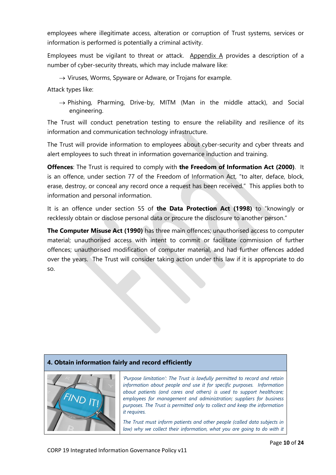employees where illegitimate access, alteration or corruption of Trust systems, services or information is performed is potentially a criminal activity.

Employees must be vigilant to threat or attack. Appendix A provides a description of a number of cyber-security threats, which may include malware like:

 $\rightarrow$  Viruses, Worms, Spyware or Adware, or Trojans for example.

Attack types like:

 $\rightarrow$  Phishing, Pharming, Drive-by, MITM (Man in the middle attack), and Social engineering.

The Trust will conduct penetration testing to ensure the reliability and resilience of its information and communication technology infrastructure.

The Trust will provide information to employees about cyber-security and cyber threats and alert employees to such threat in information governance induction and training.

**Offences**: The Trust is required to comply with **the Freedom of Information Act (2000)**. It is an offence, under section 77 of the Freedom of Information Act, "to alter, deface, block, erase, destroy, or conceal any record once a request has been received." This applies both to information and personal information.

It is an offence under section 55 of **the Data Protection Act (1998)** to "knowingly or recklessly obtain or disclose personal data or procure the disclosure to another person."

**The Computer Misuse Act (1990)** has three main offences; unauthorised access to computer material; unauthorised access with intent to commit or facilitate commission of further offences; unauthorised modification of computer material, and had further offences added over the years. The Trust will consider taking action under this law if it is appropriate to do so.

#### **4. Obtain information fairly and record efficiently**



*'Purpose limitation': The Trust is lawfully permitted to record and retain information about people and use it for specific purposes. Information about patients (and cares and others) is used to support healthcare; employees for management and administration; suppliers for business purposes. The Trust is permitted only to collect and keep the information it requires.*

*The Trust must inform patients and other people (called data subjects in law) why we collect their information, what you are going to do with it*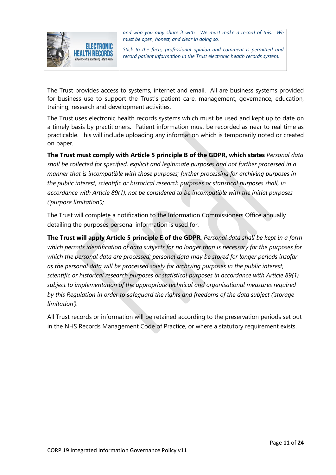

*and who you may share it with. We must make a record of this. We must be open, honest, and clear in doing so.* 

*Stick to the facts, professional opinion and comment is permitted and record patient information in the Trust electronic health records system.*

The Trust provides access to systems, internet and email. All are business systems provided for business use to support the Trust's patient care, management, governance, education, training, research and development activities.

The Trust uses electronic health records systems which must be used and kept up to date on a timely basis by practitioners. Patient information must be recorded as near to real time as practicable. This will include uploading any information which is temporarily noted or created on paper.

**The Trust must comply with Article 5 principle B of the GDPR, which states** *Personal data shall be collected for specified, explicit and legitimate purposes and not further processed in a manner that is incompatible with those purposes; further processing for archiving purposes in the public interest, scientific or historical research purposes or statistical purposes shall, in accordance with Article 89(1), not be considered to be incompatible with the initial purposes ('purpose limitation');*

The Trust will complete a notification to the Information Commissioners Office annually detailing the purposes personal information is used for.

**The Trust will apply Article 5 principle E of the GDPR**, *Personal data shall be kept in a form which permits identification of data subjects for no longer than is necessary for the purposes for which the personal data are processed; personal data may be stored for longer periods insofar as the personal data will be processed solely for archiving purposes in the public interest, scientific or historical research purposes or statistical purposes in accordance with Article 89(1) subject to implementation of the appropriate technical and organisational measures required by this Regulation in order to safeguard the rights and freedoms of the data subject ('storage limitation').*

All Trust records or information will be retained according to the preservation periods set out in the NHS Records Management Code of Practice, or where a statutory requirement exists.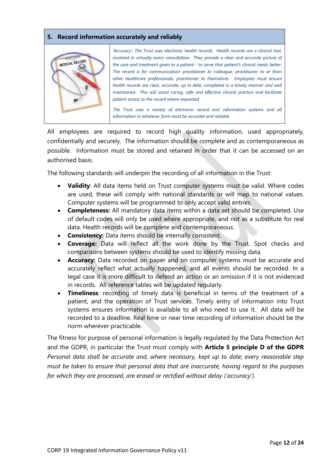#### **5. Record information accurately and reliably**



*'Accuracy': The Trust uses electronic health records. Health records are a clinical tool, involved in virtually every consultation. They provide a clear and accurate picture of the care and treatment given to a patient - to serve that patient's clinical needs better. The record is for communication: practitioner to colleague, practitioner to or from other healthcare professionals, practitioner to themselves. Employees must ensure health records are clear, accurate, up to date, completed in a timely manner and well maintained. This will assist caring, safe and effective clinical practice and facilitate patient access to the record where requested.* 

*The Trust uses a variety of electronic record and information systems and all information in whatever form must be accurate and reliable.*

All employees are required to record high quality information, used appropriately, confidentially and securely. The information should be complete and as contemporaneous as possible. Information must be stored and retained in order that it can be accessed on an authorised basis.

The following standards will underpin the recording of all information in the Trust:

- **Validity**: All data items held on Trust computer systems must be valid. Where codes are used, these will comply with national standards or will map to national values. Computer systems will be programmed to only accept valid entries.
- **Completeness:** All mandatory data items within a data set should be completed. Use of default codes will only be used where appropriate, and not as a substitute for real data. Health records will be complete and contemporaneous.
- **Consistency:** Data items should be internally consistent.
- **Coverage:** Data will reflect all the work done by the Trust. Spot checks and comparisons between systems should be used to identify missing data.
- **Accuracy:** Data recorded on paper and on computer systems must be accurate and accurately reflect what actually happened, and all events should be recorded. In a legal case it is more difficult to defend an action or an omission if it is not evidenced in records. All reference tables will be updated regularly.
- **Timeliness**: recording of timely data is beneficial in terms of the treatment of a patient, and the operation of Trust services. Timely entry of information into Trust systems ensures information is available to all who need to use it. All data will be recorded to a deadline. Real time or near time recording of information should be the norm wherever practicable.

The fitness for purpose of personal information is legally regulated by the Data Protection Act and the GDPR, in particular the Trust must comply with **Article 5 principle D of the GDPR** *Personal data shall be accurate and, where necessary, kept up to date; every reasonable step must be taken to ensure that personal data that are inaccurate, having regard to the purposes for which they are processed, are erased or rectified without delay ('accuracy').*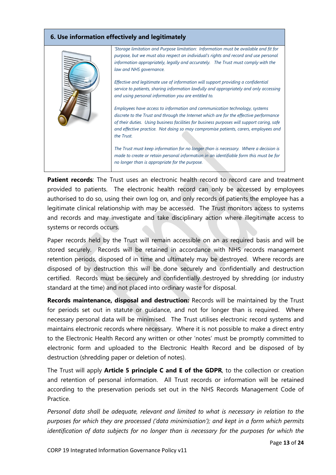### **6. Use information effectively and legitimately**



**Patient records**: The Trust uses an electronic health record to record care and treatment provided to patients. The electronic health record can only be accessed by employees authorised to do so, using their own log on, and only records of patients the employee has a legitimate clinical relationship with may be accessed. The Trust monitors access to systems and records and may investigate and take disciplinary action where illegitimate access to systems or records occurs.

Paper records held by the Trust will remain accessible on an as required basis and will be stored securely. Records will be retained in accordance with NHS records management retention periods, disposed of in time and ultimately may be destroyed. Where records are disposed of by destruction this will be done securely and confidentially and destruction certified. Records must be securely and confidentially destroyed by shredding (or industry standard at the time) and not placed into ordinary waste for disposal.

**Records maintenance, disposal and destruction:** Records will be maintained by the Trust for periods set out in statute or guidance, and not for longer than is required. Where necessary personal data will be minimised. The Trust utilises electronic record systems and maintains electronic records where necessary. Where it is not possible to make a direct entry to the Electronic Health Record any written or other 'notes' must be promptly committed to electronic form and uploaded to the Electronic Health Record and be disposed of by destruction (shredding paper or deletion of notes).

The Trust will apply **Article 5 principle C and E of the GDPR**, to the collection or creation and retention of personal information. All Trust records or information will be retained according to the preservation periods set out in the NHS Records Management Code of Practice.

*Personal data shall be adequate, relevant and limited to what is necessary in relation to the purposes for which they are processed ('data minimisation'); and kept in a form which permits identification of data subjects for no longer than is necessary for the purposes for which the*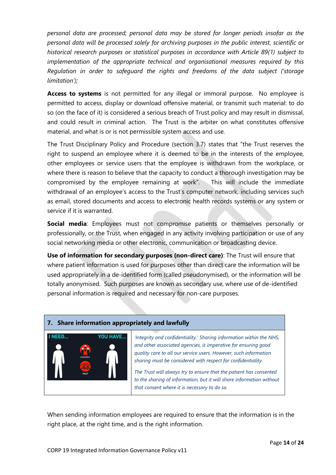*personal data are processed; personal data may be stored for longer periods insofar as the personal data will be processed solely for archiving purposes in the public interest, scientific or historical research purposes or statistical purposes in accordance with Article 89(1) subject to implementation of the appropriate technical and organisational measures required by this Regulation in order to safeguard the rights and freedoms of the data subject ('storage limitation');*

**Access to systems** is not permitted for any illegal or immoral purpose. No employee is permitted to access, display or download offensive material, or transmit such material: to do so (on the face of it) is considered a serious breach of Trust policy and may result in dismissal, and could result in criminal action. The Trust is the arbiter on what constitutes offensive material, and what is or is not permissible system access and use.

The Trust Disciplinary Policy and Procedure (section 3.7) states that "the Trust reserves the right to suspend an employee where it is deemed to be in the interests of the employee, other employees or service users that the employee is withdrawn from the workplace, or where there is reason to believe that the capacity to conduct a thorough investigation may be compromised by the employee remaining at work". This will include the immediate withdrawal of an employee's access to the Trust's computer network, including services such as email, stored documents and access to electronic health records systems or any system or service if it is warranted.

**Social media**: Employees must not compromise patients or themselves personally or professionally, or the Trust, when engaged in any activity involving participation or use of any social networking media or other electronic, communication or broadcasting device.

**Use of information for secondary purposes (non-direct care)**: The Trust will ensure that where patient information is used for purposes other than direct care the information will be used appropriately in a de-identified form (called pseudonymised), or the information will be totally anonymised. Such purposes are known as secondary use, where use of de-identified personal information is required and necessary for non-care purposes.

### **7. Share information appropriately and lawfully** NEED... **YOU HAVE..** *'Integrity and confidentiality.' Sharing information within the NHS, and other associated agencies, is imperative for ensuring good quality care to all our service users. However, such information sharing must be considered with respect for confidentiality. The Trust will always try to ensure that the patient has consented to the sharing of information, but it will share information without that consent where it is necessary to do so.*

When sending information employees are required to ensure that the information is in the right place, at the right time, and is the right information.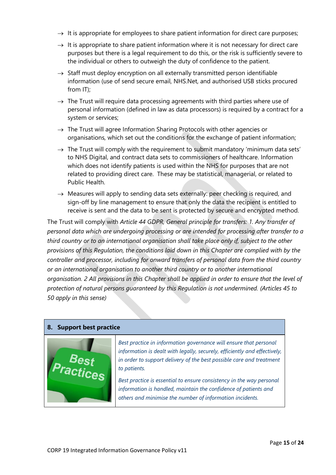- $\rightarrow$  It is appropriate for employees to share patient information for direct care purposes;
- $\rightarrow$  It is appropriate to share patient information where it is not necessary for direct care purposes but there is a legal requirement to do this, or the risk is sufficiently severe to the individual or others to outweigh the duty of confidence to the patient.
- $\rightarrow$  Staff must deploy encryption on all externally transmitted person identifiable information (use of send secure email, NHS.Net, and authorised USB sticks procured from IT);
- $\rightarrow$  The Trust will require data processing agreements with third parties where use of personal information (defined in law as data processors) is required by a contract for a system or services;
- $\rightarrow$  The Trust will agree Information Sharing Protocols with other agencies or organisations, which set out the conditions for the exchange of patient information;
- $\rightarrow$  The Trust will comply with the requirement to submit mandatory 'minimum data sets' to NHS Digital, and contract data sets to commissioners of healthcare. Information which does not identify patients is used within the NHS for purposes that are not related to providing direct care. These may be statistical, managerial, or related to Public Health.
- $\rightarrow$  Measures will apply to sending data sets externally: peer checking is required, and sign-off by line management to ensure that only the data the recipient is entitled to receive is sent and the data to be sent is protected by secure and encrypted method.

The Trust will comply with *Article 44 GDPR, General principle for transfers: 1. Any transfer of personal data which are undergoing processing or are intended for processing after transfer to a third country or to an international organisation shall take place only if, subject to the other provisions of this Regulation, the conditions laid down in this Chapter are complied with by the controller and processor, including for onward transfers of personal data from the third country or an international organisation to another third country or to another international organisation. 2 All provisions in this Chapter shall be applied in order to ensure that the level of protection of natural persons guaranteed by this Regulation is not undermined. (Articles 45 to 50 apply in this sense)*

## **8. Support best practice** *Best practice in information governance will ensure that personal information is dealt with legally, securely, efficiently and effectively, in order to support delivery of the best possible care and treatment*  ractices *to patients. Best practice is essential to ensure consistency in the way personal information is handled, maintain the confidence of patients and others and minimise the number of information incidents.*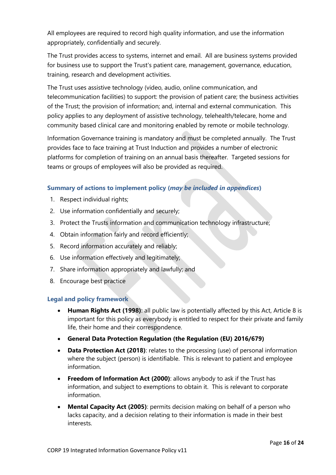All employees are required to record high quality information, and use the information appropriately, confidentially and securely.

The Trust provides access to systems, internet and email. All are business systems provided for business use to support the Trust's patient care, management, governance, education, training, research and development activities.

The Trust uses assistive technology (video, audio, online communication, and telecommunication facilities) to support: the provision of patient care; the business activities of the Trust; the provision of information; and, internal and external communication. This policy applies to any deployment of assistive technology, telehealth/telecare, home and community based clinical care and monitoring enabled by remote or mobile technology.

Information Governance training is mandatory and must be completed annually. The Trust provides face to face training at Trust Induction and provides a number of electronic platforms for completion of training on an annual basis thereafter. Targeted sessions for teams or groups of employees will also be provided as required.

#### **Summary of actions to implement policy (***may be included in appendices***)**

- 1. Respect individual rights;
- 2. Use information confidentially and securely;
- 3. Protect the Trusts information and communication technology infrastructure;
- 4. Obtain information fairly and record efficiently;
- 5. Record information accurately and reliably;
- 6. Use information effectively and legitimately;
- 7. Share information appropriately and lawfully; and
- 8. Encourage best practice

#### **Legal and policy framework**

- **Human Rights Act (1998)**: all public law is potentially affected by this Act, Article 8 is important for this policy as everybody is entitled to respect for their private and family life, their home and their correspondence.
- **General Data Protection Regulation (the Regulation (EU) 2016/679)**
- **Data Protection Act (2018)**: relates to the processing (use) of personal information where the subject (person) is identifiable. This is relevant to patient and employee information.
- **Freedom of Information Act (2000): allows anybody to ask if the Trust has** information, and subject to exemptions to obtain it. This is relevant to corporate information.
- **Mental Capacity Act (2005)**: permits decision making on behalf of a person who lacks capacity, and a decision relating to their information is made in their best interests.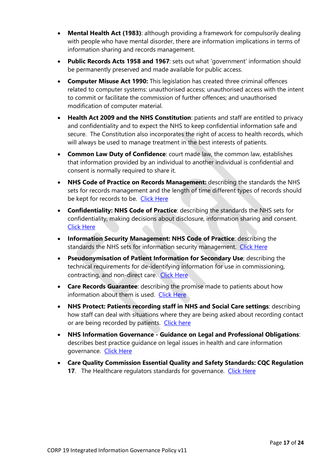- **Mental Health Act (1983)**: although providing a framework for compulsorily dealing with people who have mental disorder, there are information implications in terms of information sharing and records management.
- **Public Records Acts 1958 and 1967**: sets out what 'government' information should be permanently preserved and made available for public access.
- **Computer Misuse Act 1990:** This legislation has created three criminal offences related to computer systems: unauthorised access; unauthorised access with the intent to commit or facilitate the commission of further offences; and unauthorised modification of computer material.
- **Health Act 2009 and the NHS Constitution**: patients and staff are entitled to privacy and confidentiality and to expect the NHS to keep confidential information safe and secure. The Constitution also incorporates the right of access to health records, which will always be used to manage treatment in the best interests of patients.
- **Common Law Duty of Confidence**: court made law, the common law, establishes that information provided by an individual to another individual is confidential and consent is normally required to share it.
- **NHS Code of Practice on Records Management:** describing the standards the NHS sets for records management and the length of time different types of records should be kept for records to be. [Click Here](https://digital.nhs.uk/media/1158/Records-Management-Code-of-Practice-for-Health-and-Social-Care-2016/pdf/Records-management-COP-HSC-2016)
- **Confidentiality: NHS Code of Practice**: describing the standards the NHS sets for confidentiality, making decisions about disclosure, information sharing and consent. [Click Here](https://digital.nhs.uk/media/1157/Confidentiality-NHS-Code-of-Practice/pdf/Confidentiality-NHS-COP)
- **Information Security Management: NHS Code of Practice**: describing the standards the NHS sets for information security management. [Click Here](https://digital.nhs.uk/media/1161/Information-Security-Management-NHS-Code-of-Practice/pdf/Information-security-management-NHS-COP)
- **Pseudonymisation of Patient Information for Secondary Use**; describing the technical requirements for de-identifying information for use in commissioning, contracting, and non-direct care. [Click Here](https://digital.nhs.uk/media/1156/Code-of-practice-on-confidential-information/pdf/COPconfidentialinformation)
- **Care Records Guarantee**: describing the promise made to patients about how information about them is used. [Click Here](http://webarchive.nationalarchives.gov.uk/20130513181011/http:/www.nigb.nhs.uk/pubs/nhscrg.pdf)
- **NHS Protect: Patients recording staff in NHS and Social Care settings**: describing how staff can deal with situations where they are being asked about recording contact or are being recorded by patients. [Click here](http://www.nhsbsa.nhs.uk/Documents/SecurityManagement/Patients_recording_NHS_staff_in_health_and_social_care_settings_guidance_May_2016.pdf)
- **NHS Information Governance - Guidance on Legal and Professional Obligations**: describes best practice guidance on legal issues in health and care information governance. [Click Here](https://digital.nhs.uk/media/1160/NHS-Information-Governance-Guidance-on-Legal-and-Professional-Obligations/pdf/NHS-information-governance-legal-professional-obligations)
- **Care Quality Commission Essential Quality and Safety Standards: CQC Regulation 17.** The Healthcare regulators standards for governance. [Click Here](http://www.cqc.org.uk/content/regulation-17-good-governance)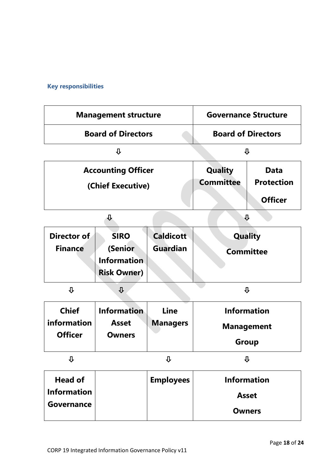## **Key responsibilities**

|                                                           | <b>Management structure</b>                                        | <b>Governance Structure</b>         |                                    |                                                    |
|-----------------------------------------------------------|--------------------------------------------------------------------|-------------------------------------|------------------------------------|----------------------------------------------------|
|                                                           | <b>Board of Directors</b>                                          | <b>Board of Directors</b>           |                                    |                                                    |
|                                                           | ⇩                                                                  | ⇩                                   |                                    |                                                    |
|                                                           | <b>Accounting Officer</b><br>(Chief Executive)                     |                                     | <b>Quality</b><br><b>Committee</b> | <b>Data</b><br><b>Protection</b><br><b>Officer</b> |
|                                                           | ⇩                                                                  |                                     |                                    | ⇩                                                  |
| Director of<br><b>Finance</b>                             | <b>SIRO</b><br>(Senior<br><b>Information</b><br><b>Risk Owner)</b> | <b>Caldicott</b><br><b>Guardian</b> | <b>Committee</b>                   | <b>Quality</b>                                     |
| ⇩                                                         | $\overline{\mathbf{u}}$                                            |                                     |                                    | ⇩                                                  |
| <b>Chief</b><br>information<br><b>Officer</b>             | <b>Information</b><br><b>Asset</b><br><b>Owners</b>                | Line<br><b>Managers</b>             | <b>Information</b>                 | <b>Management</b><br><b>Group</b>                  |
| ⇩                                                         |                                                                    | $\overline{\mathbf{v}}$             | ⇩                                  |                                                    |
| <b>Head of</b><br><b>Information</b><br><b>Governance</b> |                                                                    | <b>Employees</b>                    | <b>Information</b><br><b>Asset</b> | <b>Owners</b>                                      |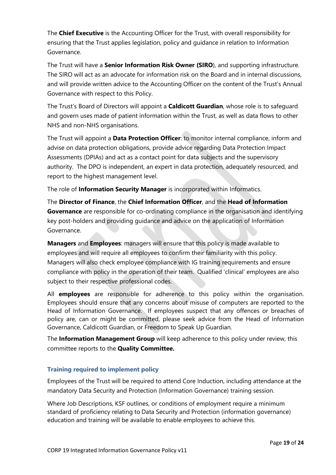The **Chief Executive** is the Accounting Officer for the Trust, with overall responsibility for ensuring that the Trust applies legislation, policy and guidance in relation to Information Governance.

The Trust will have a **Senior Information Risk Owner (SIRO**), and supporting infrastructure. The SIRO will act as an advocate for information risk on the Board and in internal discussions, and will provide written advice to the Accounting Officer on the content of the Trust's Annual Governance with respect to this Policy.

The Trust's Board of Directors will appoint a **Caldicott Guardian**, whose role is to safeguard and govern uses made of patient information within the Trust, as well as data flows to other NHS and non-NHS organisations.

The Trust will appoint a **Data Protection Officer**: to monitor internal compliance, inform and advise on data protection obligations, provide advice regarding Data Protection Impact Assessments (DPIAs) and act as a contact point for data subjects and the supervisory authority. The DPO is independent, an expert in data protection, adequately resourced, and report to the highest management level.

The role of **Information Security Manager** is incorporated within Informatics.

The **Director of Finance**, the **Chief Information Officer**, and the **Head of Information Governance** are responsible for co-ordinating compliance in the organisation and identifying key post-holders and providing guidance and advice on the application of Information Governance.

**Managers** and **Employees**: managers will ensure that this policy is made available to employees and will require all employees to confirm their familiarity with this policy. Managers will also check employee compliance with IG training requirements and ensure compliance with policy in the operation of their team. Qualified 'clinical' employees are also subject to their respective professional codes.

All **employees** are responsible for adherence to this policy within the organisation. Employees should ensure that any concerns about misuse of computers are reported to the Head of Information Governance. If employees suspect that any offences or breaches of policy are, can or might be committed, please seek advice from the Head of Information Governance, Caldicott Guardian, or Freedom to Speak Up Guardian.

The **Information Management Group** will keep adherence to this policy under review, this committee reports to the **Quality Committee.**

## **Training required to implement policy**

Employees of the Trust will be required to attend Core Induction, including attendance at the mandatory Data Security and Protection (Information Governance) training session.

Where Job Descriptions, KSF outlines, or conditions of employment require a minimum standard of proficiency relating to Data Security and Protection (information governance) education and training will be available to enable employees to achieve this.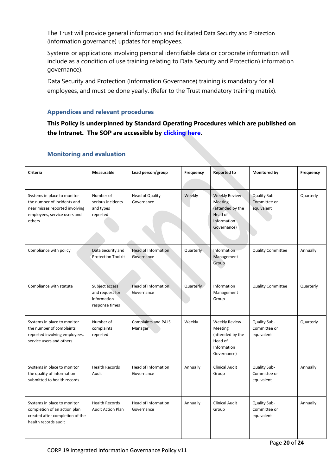The Trust will provide general information and facilitated Data Security and Protection (information governance) updates for employees.

Systems or applications involving personal identifiable data or corporate information will include as a condition of use training relating to Data Security and Protection) information governance).

Data Security and Protection (Information Governance) training is mandatory for all employees, and must be done yearly. (Refer to the Trust mandatory training matrix).

#### **Appendices and relevant procedures**

**This Policy is underpinned by Standard Operating Procedures which are published on the Intranet. The SOP are accessible by [clicking here.](https://ohft365.sharepoint.com/sites/IMT/SitePages/IG-FAQ.aspx)**

| Criteria                                                                                                                               | <b>Measurable</b>                                                  | Lead person/group                        | Frequency | <b>Reported to</b>                                                                                  | <b>Monitored by</b>                        | Frequency |
|----------------------------------------------------------------------------------------------------------------------------------------|--------------------------------------------------------------------|------------------------------------------|-----------|-----------------------------------------------------------------------------------------------------|--------------------------------------------|-----------|
| Systems in place to monitor<br>the number of incidents and<br>near misses reported involving<br>employees, service users and<br>others | Number of<br>serious incidents<br>and types<br>reported            | <b>Head of Quality</b><br>Governance     | Weekly    | <b>Weekly Review</b><br><b>Meeting</b><br>(attended by the<br>Head of<br>Information<br>Governance) | Quality Sub-<br>Committee or<br>equivalent | Quarterly |
| Compliance with policy                                                                                                                 | Data Security and<br><b>Protection Toolkit</b>                     | Head of Information<br>Governance        | Quarterly | Information<br>Management<br>Group                                                                  | <b>Quality Committee</b>                   | Annually  |
| Compliance with statute                                                                                                                | Subject access<br>and request for<br>information<br>response times | <b>Head of Information</b><br>Governance | Quarterly | Information<br>Management<br>Group                                                                  | <b>Quality Committee</b>                   | Quarterly |
| Systems in place to monitor<br>the number of complaints<br>reported involving employees,<br>service users and others                   | Number of<br>complaints<br>reported                                | <b>Complaints and PALS</b><br>Manager    | Weekly    | Weekly Review<br>Meeting<br>(attended by the<br>Head of<br>Information<br>Governance)               | Quality Sub-<br>Committee or<br>equivalent | Quarterly |
| Systems in place to monitor<br>the quality of information<br>submitted to health records                                               | <b>Health Records</b><br>Audit                                     | Head of Information<br>Governance        | Annually  | <b>Clinical Audit</b><br>Group                                                                      | Quality Sub-<br>Committee or<br>equivalent | Annually  |
| Systems in place to monitor<br>completion of an action plan<br>created after completion of the<br>health records audit                 | <b>Health Records</b><br><b>Audit Action Plan</b>                  | Head of Information<br>Governance        | Annually  | <b>Clinical Audit</b><br>Group                                                                      | Quality Sub-<br>Committee or<br>equivalent | Annually  |

#### **Monitoring and evaluation**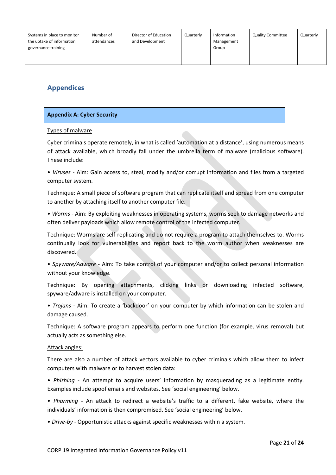| Systems in place to monitor<br>the uptake of information<br>governance training | Number of<br>attendances | Director of Education<br>and Development | Quarterly | Information<br>Management<br>Group | <b>Quality Committee</b> | Quarterly |
|---------------------------------------------------------------------------------|--------------------------|------------------------------------------|-----------|------------------------------------|--------------------------|-----------|
|                                                                                 |                          |                                          |           |                                    |                          |           |

## **Appendices**

#### **Appendix A: Cyber Security**

#### Types of malware

Cyber criminals operate remotely, in what is called 'automation at a distance', using numerous means of attack available, which broadly fall under the umbrella term of malware (malicious software). These include:

• *Viruses* - Aim: Gain access to, steal, modify and/or corrupt information and files from a targeted computer system.

Technique: A small piece of software program that can replicate itself and spread from one computer to another by attaching itself to another computer file.

• *Worms* - Aim: By exploiting weaknesses in operating systems, worms seek to damage networks and often deliver payloads which allow remote control of the infected computer.

Technique: Worms are self-replicating and do not require a program to attach themselves to. Worms continually look for vulnerabilities and report back to the worm author when weaknesses are discovered.

• *Spyware/Adware* - Aim: To take control of your computer and/or to collect personal information without your knowledge.

Technique: By opening attachments, clicking links or downloading infected software, spyware/adware is installed on your computer.

• *Trojans* - Aim: To create a 'backdoor' on your computer by which information can be stolen and damage caused.

Technique: A software program appears to perform one function (for example, virus removal) but actually acts as something else.

#### Attack angles:

There are also a number of attack vectors available to cyber criminals which allow them to infect computers with malware or to harvest stolen data:

• *Phishing* - An attempt to acquire users' information by masquerading as a legitimate entity. Examples include spoof emails and websites. See 'social engineering' below.

• *Pharming* - An attack to redirect a website's traffic to a different, fake website, where the individuals' information is then compromised. See 'social engineering' below.

• *Drive-by* - Opportunistic attacks against specific weaknesses within a system.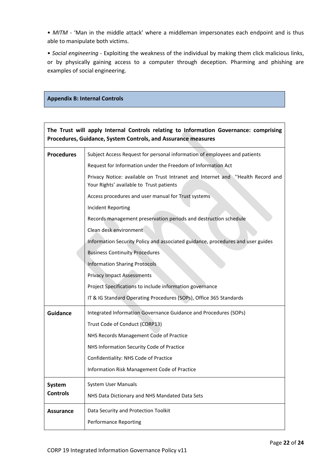• MITM - 'Man in the middle attack' where a middleman impersonates each endpoint and is thus able to manipulate both victims.

• *Social engineering* - Exploiting the weakness of the individual by making them click malicious links, or by physically gaining access to a computer through deception. Pharming and phishing are examples of social engineering.

#### **Appendix B: Internal Controls**

| The Trust will apply Internal Controls relating to Information Governance: comprising |  |  |  |  |
|---------------------------------------------------------------------------------------|--|--|--|--|
| Procedures, Guidance, System Controls, and Assurance measures                         |  |  |  |  |

| <b>Procedures</b>                    | Subject Access Request for personal information of employees and patients                                                   |  |  |  |  |
|--------------------------------------|-----------------------------------------------------------------------------------------------------------------------------|--|--|--|--|
|                                      | Request for Information under the Freedom of Information Act                                                                |  |  |  |  |
|                                      | Privacy Notice: available on Trust Intranet and Internet and "Health Record and<br>Your Rights' available to Trust patients |  |  |  |  |
|                                      | Access procedures and user manual for Trust systems                                                                         |  |  |  |  |
|                                      | <b>Incident Reporting</b>                                                                                                   |  |  |  |  |
|                                      | Records management preservation periods and destruction schedule                                                            |  |  |  |  |
|                                      | Clean desk environment                                                                                                      |  |  |  |  |
|                                      | Information Security Policy and associated guidance, procedures and user guides                                             |  |  |  |  |
|                                      | <b>Business Continuity Procedures</b>                                                                                       |  |  |  |  |
|                                      | <b>Information Sharing Protocols</b>                                                                                        |  |  |  |  |
|                                      | <b>Privacy Impact Assessments</b>                                                                                           |  |  |  |  |
|                                      | Project Specifications to include information governance                                                                    |  |  |  |  |
|                                      | IT & IG Standard Operating Procedures (SOPs), Office 365 Standards                                                          |  |  |  |  |
| <b>Guidance</b>                      | Integrated Information Governance Guidance and Procedures (SOPs)                                                            |  |  |  |  |
|                                      | Trust Code of Conduct (CORP13)                                                                                              |  |  |  |  |
|                                      | NHS Records Management Code of Practice                                                                                     |  |  |  |  |
|                                      | NHS Information Security Code of Practice                                                                                   |  |  |  |  |
|                                      | Confidentiality: NHS Code of Practice                                                                                       |  |  |  |  |
|                                      | Information Risk Management Code of Practice                                                                                |  |  |  |  |
| System User Manuals<br><b>System</b> |                                                                                                                             |  |  |  |  |
| <b>Controls</b>                      | NHS Data Dictionary and NHS Mandated Data Sets                                                                              |  |  |  |  |
| Assurance                            | Data Security and Protection Toolkit                                                                                        |  |  |  |  |
|                                      | <b>Performance Reporting</b>                                                                                                |  |  |  |  |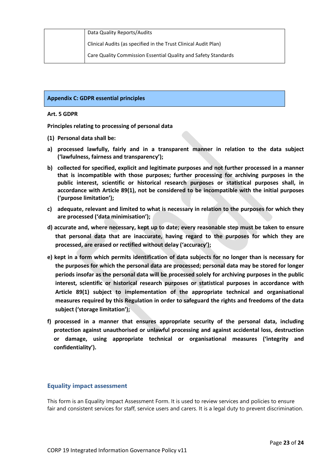|  | Data Quality Reports/Audits                                     |
|--|-----------------------------------------------------------------|
|  | Clinical Audits (as specified in the Trust Clinical Audit Plan) |
|  | Care Quality Commission Essential Quality and Safety Standards  |

#### **Appendix C: GDPR essential principles**

#### **Art. 5 GDPR**

**Principles relating to processing of personal data**

- **(1) Personal data shall be:**
- **a) processed lawfully, fairly and in a transparent manner in relation to the data subject ('lawfulness, fairness and transparency');**
- **b) collected for specified, explicit and legitimate purposes and not further processed in a manner that is incompatible with those purposes; further processing for archiving purposes in the public interest, scientific or historical research purposes or statistical purposes shall, in accordance with Article 89(1), not be considered to be incompatible with the initial purposes ('purpose limitation');**
- **c) adequate, relevant and limited to what is necessary in relation to the purposes for which they are processed ('data minimisation');**
- **d) accurate and, where necessary, kept up to date; every reasonable step must be taken to ensure that personal data that are inaccurate, having regard to the purposes for which they are processed, are erased or rectified without delay ('accuracy');**
- **e) kept in a form which permits identification of data subjects for no longer than is necessary for the purposes for which the personal data are processed; personal data may be stored for longer periods insofar as the personal data will be processed solely for archiving purposes in the public interest, scientific or historical research purposes or statistical purposes in accordance with Article 89(1) subject to implementation of the appropriate technical and organisational measures required by this Regulation in order to safeguard the rights and freedoms of the data subject ('storage limitation');**
- **f) processed in a manner that ensures appropriate security of the personal data, including protection against unauthorised or unlawful processing and against accidental loss, destruction or damage, using appropriate technical or organisational measures ('integrity and confidentiality').**

#### **Equality impact assessment**

This form is an Equality Impact Assessment Form. It is used to review services and policies to ensure fair and consistent services for staff, service users and carers. It is a legal duty to prevent discrimination.